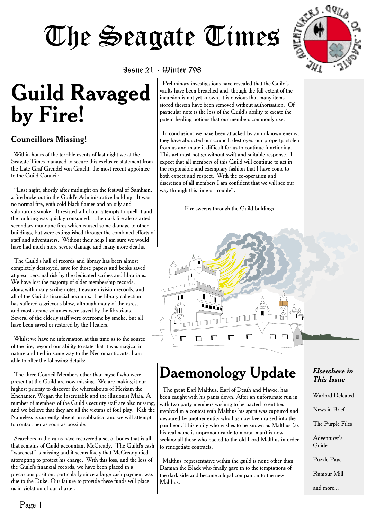

#### Issue 21 - Winter 798

# **Guild Ravaged by Fire!**

#### Councillors Missing!

Within hours of the terrible events of last night we at the Seagate Times managed to secure this exclusive statement from the Late Graf Grendel von Gracht, the most recent appointee to the Guild Council:

"Last night, shortly after midnight on the festival of Samhain, a fire broke out in the Guild's Administrative building. It was no normal fire, with cold black flames and an oily and sulphurous smoke. It resisted all of our attempts to quell it and the building was quickly consumed. The dark fire also started secondary mundane fires which caused some damage to other buildings, but were extinguished through the combined efforts of staff and adventurers. Without their help I am sure we would have had much more severe damage and many more deaths.

The Guild's hall of records and library has been almost completely destroyed, save for those papers and books saved at great personal risk by the dedicated scribes and librarians. We have lost the majority of older membership records, along with many scribe notes, treasure division records, and all of the Guild's financial accounts. The library collection has suffered a grievous blow, although many of the rarest and most arcane volumes were saved by the librarians. Several of the elderly staff were overcome by smoke, but all have been saved or restored by the Healers.

Whilst we have no information at this time as to the source of the fire, beyond our ability to state that it was magical in nature and tied in some way to the Necromantic arts, I am able to offer the following details:

The three Council Members other than myself who were present at the Guild are now missing. We are making it our highest priority to discover the whereabouts of Herkam the Enchanter, Wegan the Inscrutable and the illusionist Maia. A number of members of the Guild's security staff are also missing, and we believe that they are all the victims of foul play. Kali the Nameless is currently absent on sabbatical and we will attempt to contact her as soon as possible.

Searchers in the ruins have recovered a set of bones that is all that remains of Guild accountant McCready. The Guild's cash "warchest" is missing and it seems likely that McCready died attempting to protect his charge. With this loss, and the loss of the Guild's financial records, we have been placed in a precarious position, particularly since a large cash payment was due to the Duke. Our failure to provide these funds will place us in violation of our charter.

Preliminary investigations have revealed that the Guild's vaults have been breached and, though the full extent of the incursion is not yet known, it is obvious that many items stored therein have been removed without authorisation. Of particular note is the loss of the Guild's ability to create the potent healing potions that our members commonly use.

In conclusion: we have been attacked by an unknown enemy, they have abducted our council, destroyed our property, stolen from us and made it difficult for us to continue functioning. This act must not go without swift and suitable response. I expect that all members of this Guild will continue to act in the responsible and exemplary fashion that I have come to both expect and respect. With the co-operation and discretion of all members I am confident that we will see our way through this time of trouble".

Fire sweeps through the Guild buldings



# **Daemonology Update**

The great Earl Malthus, Earl of Death and Havoc. has been caught with his pants down. After an unfortunate run in with two party members wishing to be pacted to entities involved in a contest with Malthus his spirit was captured and devoured by another entity who has now been raised into the pantheon. This entity who wishes to be known as Malthus (as his real name is unpronouncable to mortal man) is now seeking all those who pacted to the old Lord Malthus in order to renegotiate contracts.

Malthus' representative within the guild is none other than Damian the Black who finally gave in to the temptations of the dark side and become a loyal companion to the new Malthus.

#### *Elsewhere in This Issue*

Warlord Defeated

News in Brief

The Purple Files

Adventurer's Guide

Puzzle Page

Rumour Mill

and more...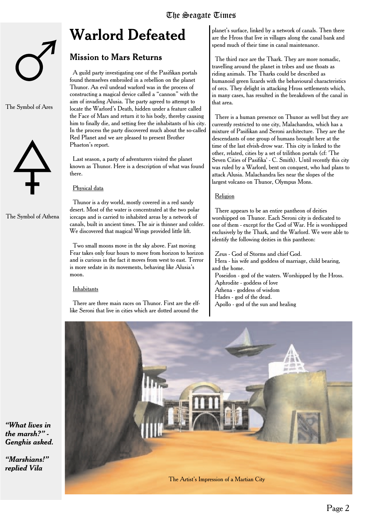# **Warlord Defeated**

#### Mission to Mars Returns

A guild party investigating one of the Pasifikan portals found themselves embroiled in a rebellion on the planet Thunor. An evil undead warlord was in the process of constructing a magical device called a "cannon" with the aim of invading Alusia. The party agreed to attempt to locate the Warlord's Death, hidden under a feature called the Face of Mars and return it to his body, thereby causing him to finally die, and setting free the inhabitants of his city. In the process the party discovered much about the so-called Red Planet and we are pleased to present Brother Phaeton's report.

Last season, a party of adventurers visited the planet known as Thunor. Here is a description of what was found there.

#### Physical data

Thunor is a dry world, mostly covered in a red sandy desert. Most of the water is concentrated at the two polar icecaps and is carried to inhabited areas by a network of canals, built in ancient times. The air is thinner and colder. We discovered that magical Wings provided little lift.

Two small moons move in the sky above. Fast moving Fear takes only four hours to move from horizon to horizon and is curious in the fact it moves from west to east. Terror is more sedate in its movements, behaving like Alusia's moon.

#### Inhabitants

There are three main races on Thunor. First are the elflike Seroni that live in cities which are dotted around the

planet's surface, linked by a network of canals. Then there are the Hross that live in villages along the canal bank and spend much of their time in canal maintenance.

The third race are the Thark. They are more nomadic, travelling around the planet in tribes and use thoats as riding animals. The Tharks could be described as humanoid green lizards with the behavioural characteristics of orcs. They delight in attacking Hross settlements which, in many cases, has resulted in the breakdown of the canal in that area.

There is a human presence on Thunor as well but they are currently restricted to one city, Malachandra, which has a mixture of Pasifikan and Seroni architecture. They are the descendants of one group of humans brought here at the time of the last elvish-drow war. This city is linked to the other, related, cities by a set of trilithon portals (cf: 'The Seven Cities of Pasifika' - C. Smith). Until recently this city was ruled by a Warlord, bent on conquest, who had plans to attack Alusia. Malachandra lies near the slopes of the largest volcano on Thunor, Olympus Mons.

#### Religion

There appears to be an entire pantheon of deities worshipped on Thunor. Each Seroni city is dedicated to one of them - except for the God of War. He is worshipped exclusively by the Thark, and the Warlord. We were able to identify the following deities in this pantheon:

Zeus - God of Storms and chief God. Hera - his wife and goddess of marriage, child bearing, and the home. Poseidon - god of the waters. Worshipped by the Hross. Aphrodite - goddess of love Athena - goddess of wisdom Hades - god of the dead. Apollo - god of the sun and healing



*"What lives in the marsh?" - Genghis asked.*

*"Marshians!" replied Vila*



The Symbol of Ares

The Symbol of Athena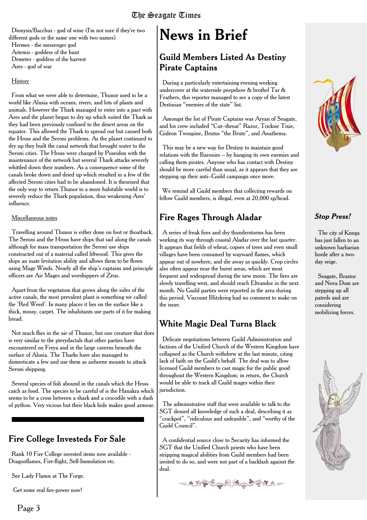Dionysis/Bacchus - god of wine (I'm not sure if they're two different gods or the same one with two names) Hermes - the messenger god Artemis - goddess of the hunt Demeter - goddess of the harvest Ares - god of war

#### **History**

From what we were able to determine, Thunor used to be a world like Alusia with oceans, rivers, and lots of plants and animals. However the Thark managed to enter into a pact with Ares and the planet began to dry up which suited the Thark as they had been previously confined to the desert areas on the equator. This allowed the Thark to spread out but caused both the Hross and the Seroni problems. As the planet continued to dry up they built the canal network that brought water to the Seroni cities. The Hross were charged by Poseidon with the maintenance of the network but several Thark attacks severely whittled down their numbers. As a consequence some of the canals broke down and dried up which resulted in a few of the affected Seroni cities had to be abandoned. It is theorised that the only way to return Thunor to a more habitable world is to severely reduce the Thark population, thus weakening Ares' influence.

#### Miscellaneous notes

Travelling around Thunor is either done on foot or thoatback. The Seroni and the Hross have ships that sail along the canals although for mass transportation the Seroni use ships constructed out of a material called liftwood. This gives the ships an inate levitation ability and allows them to be flown using Mage Winds. Nearly all the ship's captains and principle officers are Air Mages and worshippers of Zeus.

Apart from the vegetation that grows along the sides of the active canals, the most prevalent plant is something we called the 'Red Weed'. In many places it lies on the surface like a thick, mossy, carpet. The inhabitants use parts of it for making bread.

Not much flies in the air of Thunor, but one creature that does is very similar to the pterydactals that other parties have encountered on Freya and in the large caverns beneath the surface of Alusia. The Tharks have also managed to domesticate a few and use them as airborne mounts to attack Seroni shipping.

Several species of fish abound in the canals which the Hross catch as food. The species to be careful of is the Hanakra which seems to be a cross between a shark and a crocodile with a dash of python. Very vicious but their black hide makes good armour.

### Fire College Investeds For Sale

Rank 10 Fire College invested items now available - Dragonflames, Fire-flight, Self-Immolation etc.

See Lady Flamis at The Forge.

Get some real fire-power now!

### Guild Members Listed As Destiny Pirate Captains

During a particularly entertaining evening working undercover at the waterside peepshow & brothel Tar & Feathers, this reporter managed to see a copy of the latest Destinian "enemies of the state" list.

Amongst the list of Pirate Captains was Aryan of Seagate, and his crew included "Cut--throat" Razor, Tricksie Tixie, Gideon Twospine, Brutus "the Brute", and Anathema.

This may be a new way for Destiny to maintain good relations with the Baronies -- by hanging its own enemies and calling them pirates. Anyone who has contact with Destiny should be more careful than usual, as it appears that they are stepping up their anti--Guild campaign once more.

We remind all Guild members that collecting rewards on fellow Guild members, is illegal, even at 20,000 sp/head.

### Fire Rages Through Aladar

A series of freak fires and dry thunderstorms has been working its way through coastal Aladar over the last quarter. It appears that fields of wheat, copses of trees and even small villages have been consumed by wayward flames, which appear out of nowhere, and die away as quickly. Crop circles also often appear near the burnt areas, which are most frequent and widespread during the new moon. The fires are slowly travelling west, and should reach Eltrandor in the next month. No Guild parties were reported in the area during this period. Viscount Blitzkrieg had no comment to make on the issue.

## White Magic Deal Turns Black

Delicate negotiations between Guild Administration and factions of the Unified Church of the Western Kingdom have collapsed as the Church withdrew at the last minute, citing lack of faith on the Guild's behalf. The deal was to allow licensed Guild members to cast magic for the public good throughout the Western Kingdom; in return, the Church would be able to track all Guild mages within their jurisdiction.

The administrative staff that were available to talk to the SGT denied all knowledge of such a deal, describing it as "crackpot", "ridiculous and unfeasible", and "worthy of the Guild Council".

A confidential source close to Security has informed the SGT that the Unified Church priests who have been stripping magical abilities from Guild members had been invited to do so, and were not part of a backlash against the deal.





#### *Stop Press!*

The city of Knega has just fallen to an unknown barbarian horde after a twoday seige.

Seagate, Brastor and Nova Dom are stepping up all patrols and are considering mobilizing forces.

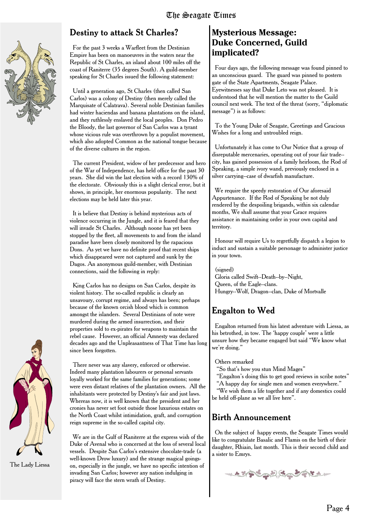

#### Destiny to attack St Charles?

For the past 3 weeks a Warfleet from the Destinian Empire has been on manoeuvres in the waters near the Republic of St Charles, an island about 100 miles off the coast of Raniterre (35 degrees South). A guild-member speaking for St Charles issued the following statement:

Until a generation ago, St Charles (then called San Carlos) was a colony of Destiny (then merely called the Marquisate of Calatrava). Several noble Destinian families had winter haciendas and banana plantations on the island, and they ruthlessly enslaved the local peoples. Don Pedro the Bloody, the last governor of San Carlos was a tyrant whose vicious rule was overthrown by a populist movement, which also adopted Common as the national tongue because of the diverse cultures in the region.

The current President, widow of her predecessor and hero of the War of Independence, has held office for the past 30 years. She did win the last election with a record 130% of the electorate. Obviously this is a slight clerical error, but it shows, in principle, her enormous popularity. The next elections may be held later this year.

It is believe that Destiny is behind mysterious acts of violence occurring in the Jungle, and it is feared that they will invade St Charles. Although noone has yet been stopped by the fleet, all movements to and from the island paradise have been closely monitored by the rapacious Dons. As yet we have no definite proof that recent ships which disappeared were not captured and sunk by the Dagos. An anonymous guild-member, with Destinian connections, said the following in reply:

King Carlos has no designs on San Carlos, despite its violent history. The so-called republic is clearly an unsavoury, corrupt regime, and always has been; perhaps because of the known orcish blood which is common amongst the islanders. Several Destinians of note were murdered during the armed insurrection, and their properties sold to ex-pirates for weapons to maintain the rebel cause. However, an official Amnesty was declared decades ago and the Unpleasantness of That Time has long since been forgotten.

There never was any slavery, enforced or otherwise. Indeed many plantation labourers or personal servants loyally worked for the same families for generations; some were even distant relatives of the plantation owners. All the inhabitants were protected by Destiny's fair and just laws. Whereas now, it is well known that the president and her cronies has never set foot outside those luxurious estates on the North Coast whilst intimidation, graft, and corruption reign supreme in the so-called capital city.

We are in the Gulf of Raniterre at the express wish of the Duke of Avenal who is concerned at the loss of several local vessels. Despite San Carlos's extensive chocolate-trade (a well-known Drow luxury) and the strange magical goingson, especially in the jungle, we have no specific intention of invading San Carlos; however any nation indulging in piracy will face the stern wrath of Destiny.

#### **Mysterious Message: Duke Concerned, Guild implicated?**

Four days ago, the following message was found pinned to an unconscious guard. The guard was pinned to postern gate of the State Apartments, Seagate Palace. Eyewitnesses say that Duke Leto was not pleased. It is understood that he will mention the matter to the Guild council next week. The text of the threat (sorry, "diplomatic message") is as follows:

To the Young Duke of Seagate, Greetings and Gracious Wishes for a long and untroubled reign.

Unfortunately it has come to Our Notice that a group of disreputable mercenaries, operating out of your fair trade- city, has gained possession of a family heirloom, the Rod of Speaking, a simple ivory wand, previously enclosed in a silver carrying--case of dwarfish manufacture.

We require the speedy restoration of Our aforesaid Appurtenance. If the Rod of Speaking be not duly rendered by the despoiling brigands, within six calendar months, We shall assume that your Grace requires assistance in maintaining order in your own capital and territory.

Honour will require Us to regretfully dispatch a legion to induct and sustain a suitable personage to administer justice in your town.

(signed) Gloria called Swift--Death--by--Night, Queen, of the Eagle--clans. Hungry--Wolf, Dragon--clan, Duke of Mortvalle

### Engalton to Wed

Engalton returned from his latest adventure with Liessa, as his betrothed, in tow. The 'happy couple' were a little unsure how they became engaged but said "We know what we're doing."

#### Others remarked

- "So that's how you stun Mind Mages"
- "Engalton's doing this to get good reviews in scribe notes" "A happy day for single men and women everywhere."
- "We wish them a life together and if any domestics could
- be held off-plane as we all live here".

#### Birth Announcement

On the subject of happy events, the Seagate Times would like to congratulate Basalic and Flamis on the birth of their daughter, Rhiain, last month. This is their second child and a sister to Emrys.





The Lady Liessa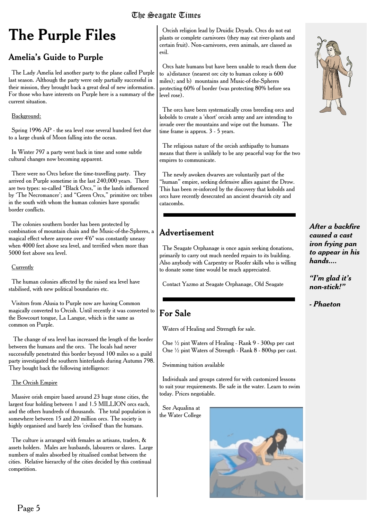# **The Purple Files**

### Amelia's Guide to Purple

The Lady Amelia led another party to the plane called Purple last season. Although the party were only partially successful in their mission, they brought back a great deal of new information. For those who have interests on Purple here is a summary of the current situation.

Background:

Spring 1996 AP - the sea level rose several hundred feet due to a large chunk of Moon falling into the ocean.

In Winter 797 a party went back in time and some subtle cultural changes now becoming apparent.

There were no Orcs before the time-travelling party. They arrived on Purple sometime in the last 240,000 years. There are two types: so-called "Black Orcs," in the lands influenced by 'The Necromancer'; and "Green Orcs," primitive orc tribes in the south with whom the human colonies have sporadic border conflicts.

The colonies southern border has been protected by combination of mountain chain and the Music-of-the-Spheres, a magical effect where anyone over 4'6" was constantly uneasy when 4000 feet above sea level, and terrified when more than 5000 feet above sea level.

#### **Currently**

The human colonies affected by the raised sea level have stabilised, with new political boundaries etc.

Visitors from Alusia to Purple now are having Common magically converted to Orcish. Until recently it was converted to the Bowcourt tongue, La Langue, which is the same as common on Purple.

The change of sea level has increased the length of the border between the humans and the orcs. The locals had never successfully penetrated this border beyond 100 miles so a guild party investigated the southern hinterlands during Autumn 798. They bought back the following intelligence:

#### The Orcish Empire

Massive orish empire based around 23 huge stone cities, the largest four holding between 1 and 1.5 MILLION orcs each, and the others hundreds of thousands. The total population is somewhere between 15 and 20 million orcs. The society is highly organised and barely less 'civilised' than the humans.

The culture is arranged with females as artisans, traders, & assets holders. Males are husbands, labourers or slaves. Large numbers of males absorbed by ritualised combat between the cities. Relative hierarchy of the cities decided by this continual competition.

Orcish religion lead by Druidic Dryads. Orcs do not eat plants or complete carnivores (they may eat river-plants and certain fruit). Non-carnivores, even animals, are classed as evil.

Orcs hate humans but have been unable to reach them due to a)distance (nearest orc city to human colony is 600 miles); and b) mountains and Music-of-the-Spheres protecting 60% of border (was protecting 80% before sea level rose).

The orcs have been systematically cross breeding orcs and kobolds to create a 'short' orcish army and are intending to invade over the mountains and wipe out the humans. The time frame is approx. 3 - 5 years.

The religious nature of the orcish anthipathy to humans means that there is unlikely to be any peaceful way for the two empires to communicate.

The newly awoken dwarves are voluntarily part of the "human" empire, seeking defensive allies against the Drow. This has been re-inforced by the discovery that kobolds and orcs have recently desecrated an ancient dwarvish city and catacombs.

# Advertisement

The Seagate Orphanage is once again seeking donations, primarily to carry out much needed repairs to its building. Also anybody with Carpentry or Roofer skills who is willing to donate some time would be much appreciated.

Contact Yazmo at Seagate Orphanage, Old Seagate

# For Sale

Waters of Healing and Strength for sale.

One ½ pint Waters of Healing - Rank 9 - 300sp per cast One ½ pint Waters of Strength - Rank 8 - 800sp per cast.

Swimming tuition available

Individuals and groups catered for with customized lessons to suit your requirements. Be safe in the water. Learn to swim today. Prices negotiable.

See Aqualina at the Water College





*After a backfire caused a cast iron frying pan to appear in his hands....*

*"I'm glad it's non-stick!"*

*- Phaeton*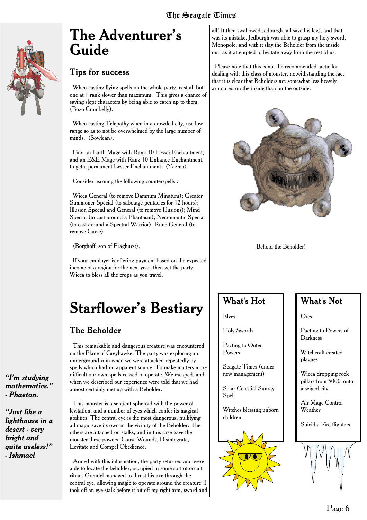

# **The Adventurer's Guide**

#### Tips for success

When casting flying spells on the whole party, cast all but one at 1 rank slower than maximum. This gives a chance of saving slept characters by being able to catch up to them. (Bozo Crambelly).

When casting Telepathy when in a crowded city, use low range so as to not be overwhelmed by the large number of minds. (Sowlean).

Find an Earth Mage with Rank 10 Lesser Enchantment, and an E&E Mage with Rank 10 Enhance Enchantment, to get a permanent Lesser Enchantment. (Yazmo).

Consider learning the following counterspells :

Wicca General (to remove Damnum Minatum); Greater Summoner Special (to sabotage pentacles for 12 hours); Illusion Special and General (to remove Illusions); Mind Special (to cast around a Phantasm); Necromantic Special (to cast around a Spectral Warrior); Rune General (to remove Curse)

(Borghoff, son of Praghurst).

If your employer is offering payment based on the expected income of a region for the next year, then get the party Wicca to bless all the crops as you travel.

# **Starflower's Bestiary**

### The Beholder

This remarkable and dangerous creature was encountered on the Plane of Greyhawke. The party was exploring an underground ruin when we were attacked repeatedly by spells which had no apparent source. To make matters more difficult our own spells ceased to operate. We escaped, and when we described our experience were told that we had almost certainly met up with a Beholder.

This monster is a sentient spheroid with the power of levitation, and a number of eyes which confer its magical abilities. The central eve is the most dangerous, nullifying all magic save its own in the vicinity of the Beholder. The others are attached on stalks, and in this case gave the monster these powers: Cause Wounds, Disintegrate, Levitate and Compel Obedience.

Armed with this information, the party returned and were able to locate the beholder, occupied in some sort of occult ritual. Grendel managed to thrust his axe through the central eye, allowing magic to operate around the creature. I took off an eye-stalk before it bit off my right arm, sword and

all! It then swallowed Jedburgh, all save his legs, and that was its mistake. Jedburgh was able to grasp my holy sword, Monopole, and with it slay the Beholder from the inside out, as it attempted to levitate away from the rest of us.

Please note that this is not the recommended tactic for dealing with this class of monster, notwithstanding the fact that it is clear that Beholders are somewhat less heavily armoured on the inside than on the outside.



Behold the Beholder!

### What's Hot

Elves

Holy Swords

Pacting to Outer Powers

Seagate Times (under new management)

Solar Celestial Sunray Spell

Witches blessing unborn children



#### What's Not

Orcs

Pacting to Powers of Darkness

Witchcraft created plagues

Wicca dropping rock pillars from 5000' onto a seiged city.

Air Mage Control Weather

Suicidal Fire-flighters



*"I'm studying mathematics." - Phaeton.*

*"Just like a lighthouse in a desert - very bright and quite useless!" - Ishmael*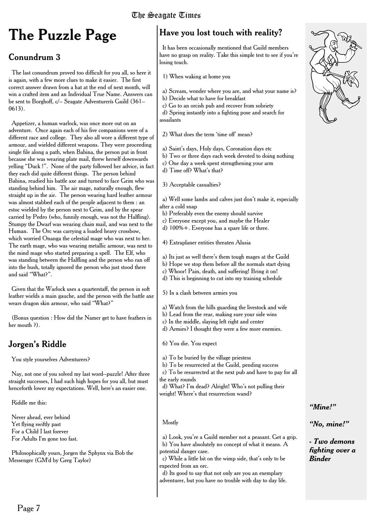# **The Puzzle Page**

### Conundrum 3

The last conundrum proved too difficult for you all, so here it is again, with a few more clues to make it easier. The first correct answer drawn from a hat at the end of next month, will win a crafted item and an Individual True Name. Answers can be sent to Borghoff, c/-- Seagate Adventurerís Guild (361-- 0613).

Appetizer, a human warlock, was once more out on an adventure. Once again each of his five companions were of a different race and college. They also all wore a different type of armour, and wielded different weapons. They were proceeding single file along a path, when Babina, the person put in front because she was wearing plate mail, threw herself downwards yelling "Duck !". None of the party followed her advice, in fact they each did quite different things. The person behind Babina, readied his battle axe and turned to face Grim who was standing behind him. The air mage, naturally enough, flew straight up in the air. The person wearing hard leather armour was almost stabbed each of the people adjacent to them : an estoc wielded by the person next to Grim, and by the spear carried by Pedro (who, funnily enough, was not the Halfling). Stumpy the Dwarf was wearing chain mail, and was next to the Human. The Orc was carrying a loaded heavy crossbow, which worried Onanga the celestial mage who was next to her. The earth mage, who was wearing metallic armour, was next to the mind mage who started preparing a spell. The Elf, who was standing between the Halfling and the person who ran off into the bush, totally ignored the person who just stood there and said "What?".

Given that the Warlock uses a quarterstaff, the person in soft leather wields a main gauche, and the person with the battle axe wears dragon skin armour, who said "What?"

(Bonus question : How did the Namer get to have feathers in her mouth ?).

## Jorgen's Riddle

You style yourselves Adventurers?

Nay, not one of you solved my last word--puzzle! After three straight successes, I had such high hopes for you all, but must henceforth lower my expectations. Well, here's an easier one.

Riddle me this:

Never ahead, ever behind Yet flying swiftly past For a Child I last forever For Adults I'm gone too fast.

Philosophically yours, Jorgen the Sphynx via Bob the Messenger (GM'd by Greg Taylor)

# Have you lost touch with reality?

It has been occasionally mentioned that Guild members have no grasp on reality. Take this simple test to see if you're losing touch.

1) When waking at home you

- a) Scream, wonder where you are, and what your name is?
- b) Decide what to have for breakfast
- c) Go to an orcish pub and recover from sobriety

d) Spring instantly into a fighting pose and search for assailants

2) What does the term 'time off' mean?

- a) Saint's days, Holy days, Coronation days etc
- b) Two or three days each week devoted to doing nothing
- c) One day a week spent strengthening your arm
- d) Time off? What's that?

3) Acceptable casualties?

a) Well some lambs and calves just don't make it, especially after a cold snap

- b) Preferably even the enemy should survive
- c) Everyone except you, and maybe the Healer
- d) 100%+. Everyone has a spare life or three.
- 4) Extraplaner entities threaten Alusia
- a) Its just as well there's them tough mages at the Guild
- b) Hope we stop them before all the normals start dying
- c) Whoor! Pain, death, and suffering! Bring it on!
- d) This is beginning to cut into my training schedule

5) In a clash between armies you

- a) Watch from the hills guarding the livestock and wife
- b) Lead from the rear, making sure your side wins
- c) In the middle, slaying left right and center
- d) Armies? I thought they were a few more enemies.

6) You die. You expect

a) To be buried by the village priestess

b) To be resurrected at the Guild, pending success

c) To be resurrected at the next pub and have to pay for all the early rounds

d) What? I'm dead? Alright! Who's not pulling their weight! Where's that resurrection wand?

#### *"Mine!"*

*"No, mine!"*

*- Two demons fighting over a Binder*

Mostly

a) Look, you're a Guild member not a peasant. Get a grip. b) You have absolutely no concept of what it means. A potential danger case.

c) While a little bit on the wimp side, that's only to be expected from an orc.

d) Its good to say that not only are you an exemplary adventurer, but you have no trouble with day to day life.